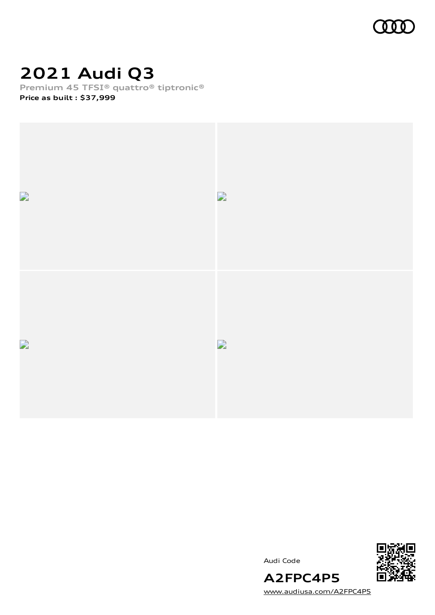

# **2021 Audi Q3**

**Premium 45 TFSI® quattro® tiptronic®**

**Price as built [:](#page-10-0) \$37,999**



Audi Code



[www.audiusa.com/A2FPC4P5](https://www.audiusa.com/A2FPC4P5)

**A2FPC4P5**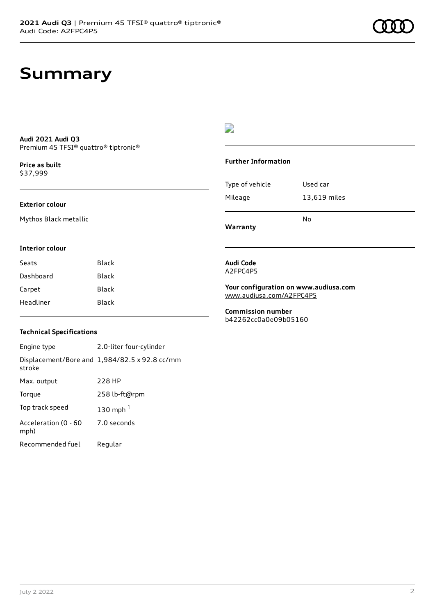# **Summary**

#### **Audi 2021 Audi Q3** Premium 45 TFSI® quattro® tiptronic®

**Price as buil[t](#page-10-0)** \$37,999

#### **Exterior colour**

Mythos Black metallic

### D

#### **Further Information**

Type of vehicle Used car Mileage 13,619 miles No

**Warranty**

### **Interior colour**

Seats Black Dashboard Black Carpet Black Headliner Black

### **Audi Code** A2FPC4P5

**Your configuration on www.audiusa.com** [www.audiusa.com/A2FPC4P5](https://www.audiusa.com/A2FPC4P5)

**Commission number** b42262cc0a0e09b05160

### **Technical Specifications**

Engine type 2.0-liter four-cylinder Displacement/Bore and 1,984/82.5 x 92.8 cc/mm stroke Max. output 228 HP Torque 258 lb-ft@rpm Top track speed [1](#page-10-0)30 mph $<sup>1</sup>$ </sup> Acceleration (0 - 60 mph) 7.0 seconds Recommended fuel Regular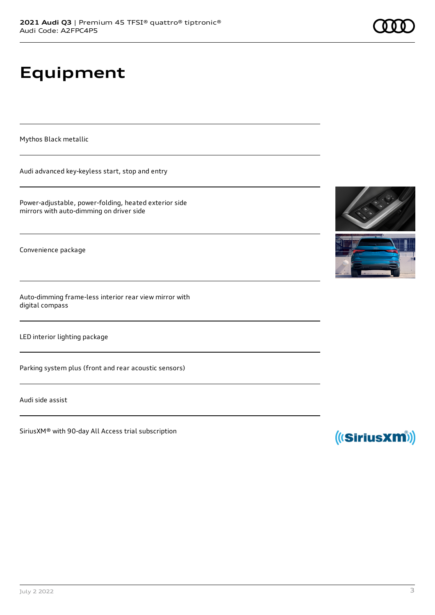# **Equipment**

Mythos Black metallic

Audi advanced key-keyless start, stop and entry

Power-adjustable, power-folding, heated exterior side mirrors with auto-dimming on driver side

Convenience package

Auto-dimming frame-less interior rear view mirror with digital compass

LED interior lighting package

Parking system plus (front and rear acoustic sensors)

Audi side assist

SiriusXM® with 90-day All Access trial subscription





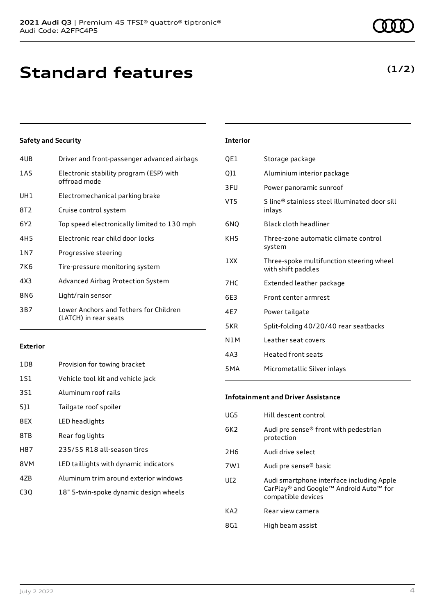# **Standard features**

### **Safety and Security**

| 4UB   | Driver and front-passenger advanced airbags                     |
|-------|-----------------------------------------------------------------|
| 1AS   | Electronic stability program (ESP) with<br>offroad mode         |
| UH1   | Electromechanical parking brake                                 |
| 8T2   | Cruise control system                                           |
| 6Y2   | Top speed electronically limited to 130 mph                     |
| 4H5   | Electronic rear child door locks                                |
| 1 N 7 | Progressive steering                                            |
| 7K6   | Tire-pressure monitoring system                                 |
| 4X3   | Advanced Airbag Protection System                               |
| 8N6   | Light/rain sensor                                               |
| 3B7   | Lower Anchors and Tethers for Children<br>(LATCH) in rear seats |

#### **Exterior**

| 1D <sub>8</sub> | Provision for towing bracket           |
|-----------------|----------------------------------------|
| 1S1             | Vehicle tool kit and vehicle jack      |
| 3S1             | Aluminum roof rails                    |
| 511             | Tailgate roof spoiler                  |
| 8EX             | LED headlights                         |
| 8TB             | Rear fog lights                        |
| H87             | 235/55 R18 all-season tires            |
| 8VM             | LED taillights with dynamic indicators |
| 4ZB             | Aluminum trim around exterior windows  |
| C30             | 18" 5-twin-spoke dynamic design wheels |

### **Interior**

| QE1        | Storage package                                                |
|------------|----------------------------------------------------------------|
| Q]1        | Aluminium interior package                                     |
| 3FU        | Power panoramic sunroof                                        |
| VT5        | S line® stainless steel illuminated door sill<br>inlays        |
| 6NO        | Black cloth headliner                                          |
| KH5        | Three-zone automatic climate control<br>system                 |
| 1 XX       | Three-spoke multifunction steering wheel<br>with shift paddles |
| 7HC        | Extended leather package                                       |
| 6E3        | Front center armrest                                           |
| 4E7        | Power tailgate                                                 |
| 5KR        | Split-folding 40/20/40 rear seatbacks                          |
| N1M        | Leather seat covers                                            |
| 4A3        | <b>Heated front seats</b>                                      |
| <b>5MA</b> | Micrometallic Silver inlays                                    |

#### **Infotainment and Driver Assistance**

| UG5             | Hill descent control                                                                                      |
|-----------------|-----------------------------------------------------------------------------------------------------------|
| 6K <sub>2</sub> | Audi pre sense® front with pedestrian<br>protection                                                       |
| 2H <sub>6</sub> | Audi drive select                                                                                         |
| 7W1             | Audi pre sense® basic                                                                                     |
| UI <sub>2</sub> | Audi smartphone interface including Apple<br>CarPlay® and Google™ Android Auto™ for<br>compatible devices |
| KA <sub>2</sub> | Rear view camera                                                                                          |
| 8G1             | High beam assist                                                                                          |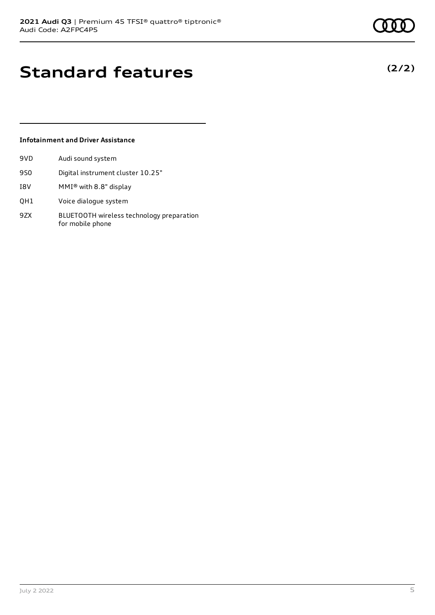# **Standard features**

### **Infotainment and Driver Assistance**

| 9VD | Audi sound system                                             |
|-----|---------------------------------------------------------------|
| 9S0 | Digital instrument cluster 10.25"                             |
| I8V | MMI® with 8.8" display                                        |
| QH1 | Voice dialogue system                                         |
| 9ZX | BLUETOOTH wireless technology preparation<br>for mobile phone |

**(2/2)**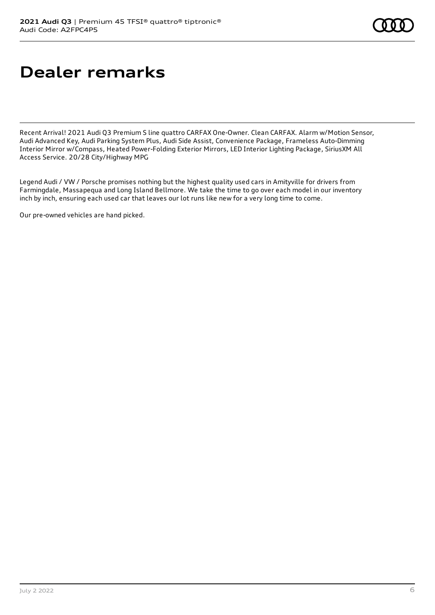# **Dealer remarks**

Recent Arrival! 2021 Audi Q3 Premium S line quattro CARFAX One-Owner. Clean CARFAX. Alarm w/Motion Sensor, Audi Advanced Key, Audi Parking System Plus, Audi Side Assist, Convenience Package, Frameless Auto-Dimming Interior Mirror w/Compass, Heated Power-Folding Exterior Mirrors, LED Interior Lighting Package, SiriusXM All Access Service. 20/28 City/Highway MPG

Legend Audi / VW / Porsche promises nothing but the highest quality used cars in Amityville for drivers from Farmingdale, Massapequa and Long Island Bellmore. We take the time to go over each model in our inventory inch by inch, ensuring each used car that leaves our lot runs like new for a very long time to come.

Our pre-owned vehicles are hand picked.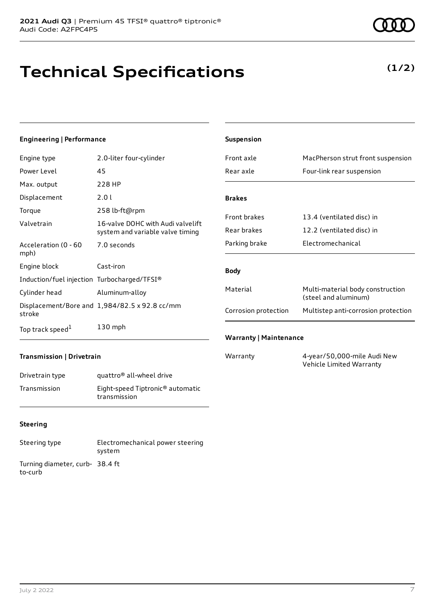# **Technical Specifications**

#### **Engineering | Performance**

| Engine type                                 | 2.0-liter four-cylinder                                               |
|---------------------------------------------|-----------------------------------------------------------------------|
| Power Level                                 | 45                                                                    |
| Max. output                                 | 228 HP                                                                |
| Displacement                                | 2.0 L                                                                 |
| Torque                                      | 258 lb-ft@rpm                                                         |
| Valvetrain                                  | 16-valve DOHC with Audi valvelift<br>system and variable valve timing |
| Acceleration (0 - 60<br>mph)                | 7.0 seconds                                                           |
| Engine block                                | Cast-iron                                                             |
| Induction/fuel injection Turbocharged/TFSI® |                                                                       |
| Cylinder head                               | Aluminum-alloy                                                        |
| stroke                                      | Displacement/Bore and 1,984/82.5 x 92.8 cc/mm                         |
| Top track speed <sup>1</sup>                | 130 mph                                                               |

| Suspension                    |                                                          |  |
|-------------------------------|----------------------------------------------------------|--|
| Front axle                    | MacPherson strut front suspension                        |  |
| Rear axle                     | Four-link rear suspension                                |  |
|                               |                                                          |  |
| <b>Brakes</b>                 |                                                          |  |
| <b>Front brakes</b>           | 13.4 (ventilated disc) in                                |  |
| Rear brakes                   | 12.2 (ventilated disc) in                                |  |
| Parking brake                 | Flectromechanical                                        |  |
|                               |                                                          |  |
| <b>Body</b>                   |                                                          |  |
| Material                      | Multi-material body construction<br>(steel and aluminum) |  |
| Corrosion protection          | Multistep anti-corrosion protection                      |  |
|                               |                                                          |  |
| <b>Warranty   Maintenance</b> |                                                          |  |
| Warranty                      | 4-year/50,000-mile Audi New                              |  |

Vehicle Limited Warranty

### **Transmission | Drivetrain**

| Drivetrain type | quattro <sup>®</sup> all-wheel drive                         |
|-----------------|--------------------------------------------------------------|
| Transmission    | Eight-speed Tiptronic <sup>®</sup> automatic<br>transmission |

### **Steering**

| Steering type                             | Electromechanical power steering<br>system |
|-------------------------------------------|--------------------------------------------|
| Turning diameter, curb-38.4 ft<br>to-curb |                                            |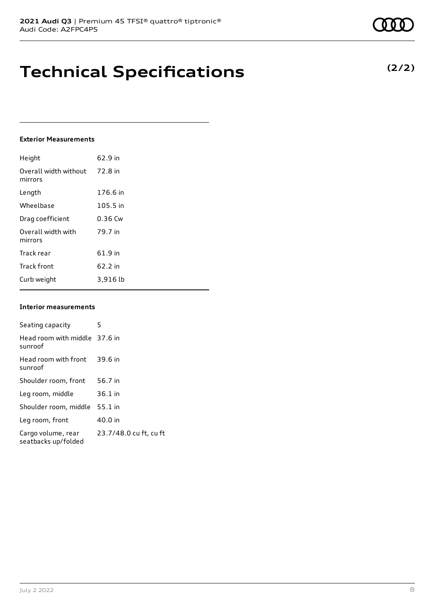# **Technical Specifications**

#### **Exterior Measurements**

| Height                           | 62.9 in   |
|----------------------------------|-----------|
| Overall width without<br>mirrors | 72.8 in   |
| Length                           | 176.6 in  |
| Wheelbase                        | 105.5 in  |
| Drag coefficient                 | $0.36$ Cw |
| Overall width with<br>mirrors    | 79.7 in   |
| Track rear                       | 61.9 in   |
| <b>Track front</b>               | $62.2$ in |
| Curb weight                      | 3,916 lb  |

#### **Interior measurements**

| Seating capacity                          | 5                      |
|-------------------------------------------|------------------------|
| Head room with middle 37.6 in<br>sunroof  |                        |
| Head room with front<br>sunroof           | 39.6 in                |
| Shoulder room, front                      | 56.7 in                |
| Leg room, middle                          | $36.1$ in              |
| Shoulder room, middle                     | $55.1$ in              |
| Leg room, front                           | 40.0 in                |
| Cargo volume, rear<br>seatbacks up/folded | 23.7/48.0 cu ft, cu ft |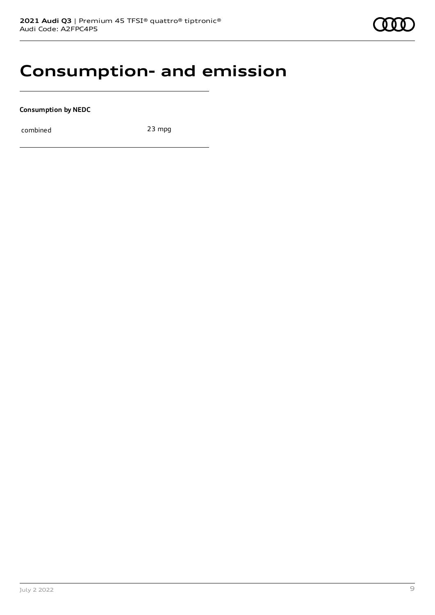### **Consumption- and emission**

**Consumption by NEDC**

combined 23 mpg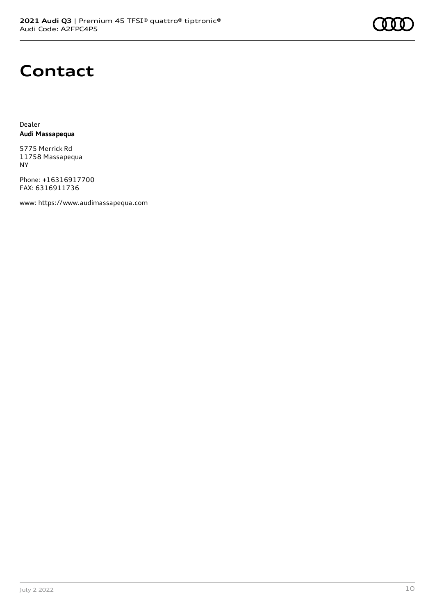

## **Contact**

Dealer **Audi Massapequa**

5775 Merrick Rd 11758 Massapequa NY

Phone: +16316917700 FAX: 6316911736

www: [https://www.audimassapequa.com](https://www.audimassapequa.com/)